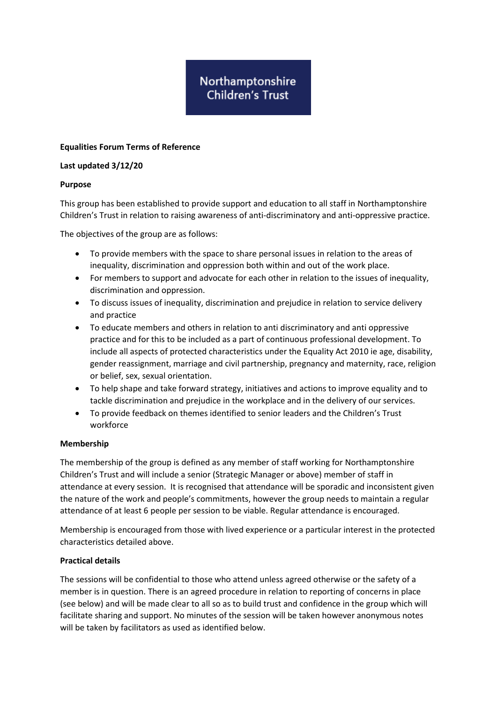# Northamptonshire **Children's Trust**

## **Equalities Forum Terms of Reference**

## **Last updated 3/12/20**

## **Purpose**

This group has been established to provide support and education to all staff in Northamptonshire Children's Trust in relation to raising awareness of anti-discriminatory and anti-oppressive practice.

The objectives of the group are as follows:

- To provide members with the space to share personal issues in relation to the areas of inequality, discrimination and oppression both within and out of the work place.
- For members to support and advocate for each other in relation to the issues of inequality, discrimination and oppression.
- To discuss issues of inequality, discrimination and prejudice in relation to service delivery and practice
- To educate members and others in relation to anti discriminatory and anti oppressive practice and for this to be included as a part of continuous professional development. To include all aspects of protected characteristics under the Equality Act 2010 ie age, disability, gender reassignment, marriage and civil partnership, pregnancy and maternity, race, religion or belief, sex, sexual orientation.
- To help shape and take forward strategy, initiatives and actions to improve equality and to tackle discrimination and prejudice in the workplace and in the delivery of our services.
- To provide feedback on themes identified to senior leaders and the Children's Trust workforce

## **Membership**

The membership of the group is defined as any member of staff working for Northamptonshire Children's Trust and will include a senior (Strategic Manager or above) member of staff in attendance at every session. It is recognised that attendance will be sporadic and inconsistent given the nature of the work and people's commitments, however the group needs to maintain a regular attendance of at least 6 people per session to be viable. Regular attendance is encouraged.

Membership is encouraged from those with lived experience or a particular interest in the protected characteristics detailed above.

## **Practical details**

The sessions will be confidential to those who attend unless agreed otherwise or the safety of a member is in question. There is an agreed procedure in relation to reporting of concerns in place (see below) and will be made clear to all so as to build trust and confidence in the group which will facilitate sharing and support. No minutes of the session will be taken however anonymous notes will be taken by facilitators as used as identified below.